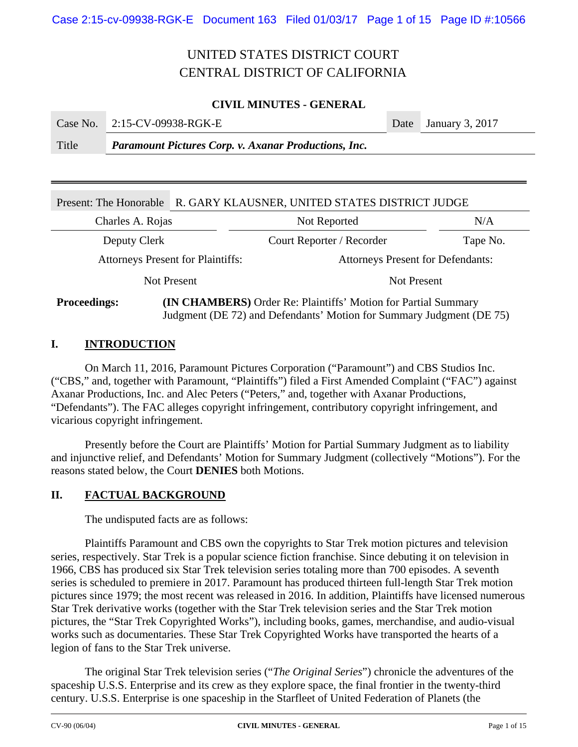### **CIVIL MINUTES - GENERAL**

|                   | Case No. 2:15-CV-09938-RGK-E                                                                                                                                    | Date January 3, 2017 |  |
|-------------------|-----------------------------------------------------------------------------------------------------------------------------------------------------------------|----------------------|--|
| $TT^{\dagger}A$ . | $\mathbf{D}_{\text{non-1}}$ , and $\mathbf{D}_{\text{non-1}}^*$ and $\mathbf{D}_{\text{non-1}}$ and $\mathbf{D}_{\text{non-1}}$ and $\mathbf{D}_{\text{non-1}}$ |                      |  |

Title *Paramount Pictures Corp. v. Axanar Productions, Inc.* 

| R. GARY KLAUSNER, UNITED STATES DISTRICT JUDGE<br>Present: The Honorable                     |  |                                          |          |  |  |  |
|----------------------------------------------------------------------------------------------|--|------------------------------------------|----------|--|--|--|
| Charles A. Rojas                                                                             |  | Not Reported                             | N/A      |  |  |  |
| Deputy Clerk                                                                                 |  | Court Reporter / Recorder                | Tape No. |  |  |  |
| <b>Attorneys Present for Plaintiffs:</b>                                                     |  | <b>Attorneys Present for Defendants:</b> |          |  |  |  |
| <b>Not Present</b>                                                                           |  | Not Present                              |          |  |  |  |
| <b>(IN CHAMBERS)</b> Order Re: Plaintiffs' Motion for Partial Summary<br><b>Proceedings:</b> |  |                                          |          |  |  |  |

Judgment (DE 72) and Defendants' Motion for Summary Judgment (DE 75)

### **I. INTRODUCTION**

1

On March 11, 2016, Paramount Pictures Corporation ("Paramount") and CBS Studios Inc. ("CBS," and, together with Paramount, "Plaintiffs") filed a First Amended Complaint ("FAC") against Axanar Productions, Inc. and Alec Peters ("Peters," and, together with Axanar Productions, "Defendants"). The FAC alleges copyright infringement, contributory copyright infringement, and vicarious copyright infringement.

Presently before the Court are Plaintiffs' Motion for Partial Summary Judgment as to liability and injunctive relief, and Defendants' Motion for Summary Judgment (collectively "Motions"). For the reasons stated below, the Court **DENIES** both Motions.

### **II. FACTUAL BACKGROUND**

The undisputed facts are as follows:

Plaintiffs Paramount and CBS own the copyrights to Star Trek motion pictures and television series, respectively. Star Trek is a popular science fiction franchise. Since debuting it on television in 1966, CBS has produced six Star Trek television series totaling more than 700 episodes. A seventh series is scheduled to premiere in 2017. Paramount has produced thirteen full-length Star Trek motion pictures since 1979; the most recent was released in 2016. In addition, Plaintiffs have licensed numerous Star Trek derivative works (together with the Star Trek television series and the Star Trek motion pictures, the "Star Trek Copyrighted Works"), including books, games, merchandise, and audio-visual works such as documentaries. These Star Trek Copyrighted Works have transported the hearts of a legion of fans to the Star Trek universe.

The original Star Trek television series ("*The Original Series*") chronicle the adventures of the spaceship U.S.S. Enterprise and its crew as they explore space, the final frontier in the twenty-third century. U.S.S. Enterprise is one spaceship in the Starfleet of United Federation of Planets (the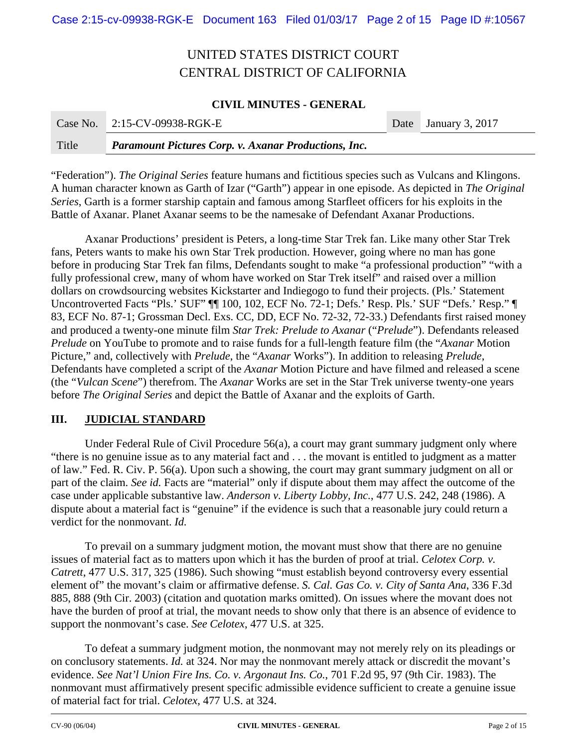### **CIVIL MINUTES - GENERAL**

| Case No. | $2:15$ -CV-09938-RGK-E                                      | Date January 3, 2017 |
|----------|-------------------------------------------------------------|----------------------|
| Title    | <b>Paramount Pictures Corp. v. Axanar Productions, Inc.</b> |                      |

"Federation"). *The Original Series* feature humans and fictitious species such as Vulcans and Klingons. A human character known as Garth of Izar ("Garth") appear in one episode. As depicted in *The Original Series*, Garth is a former starship captain and famous among Starfleet officers for his exploits in the Battle of Axanar. Planet Axanar seems to be the namesake of Defendant Axanar Productions.

Axanar Productions' president is Peters, a long-time Star Trek fan. Like many other Star Trek fans, Peters wants to make his own Star Trek production. However, going where no man has gone before in producing Star Trek fan films, Defendants sought to make "a professional production" "with a fully professional crew, many of whom have worked on Star Trek itself" and raised over a million dollars on crowdsourcing websites Kickstarter and Indiegogo to fund their projects. (Pls.' Statement Uncontroverted Facts "Pls.' SUF" [[ 100, 102, ECF No. 72-1; Defs.' Resp. Pls.' SUF "Defs.' Resp." [ 83, ECF No. 87-1; Grossman Decl. Exs. CC, DD, ECF No. 72-32, 72-33.) Defendants first raised money and produced a twenty-one minute film *Star Trek: Prelude to Axanar* ("*Prelude*"). Defendants released *Prelude* on YouTube to promote and to raise funds for a full-length feature film (the "*Axanar* Motion Picture," and, collectively with *Prelude*, the "*Axanar* Works"). In addition to releasing *Prelude*, Defendants have completed a script of the *Axanar* Motion Picture and have filmed and released a scene (the "*Vulcan Scene*") therefrom. The *Axanar* Works are set in the Star Trek universe twenty-one years before *The Original Series* and depict the Battle of Axanar and the exploits of Garth.

### **III. JUDICIAL STANDARD**

Under Federal Rule of Civil Procedure 56(a), a court may grant summary judgment only where "there is no genuine issue as to any material fact and . . . the movant is entitled to judgment as a matter of law." Fed. R. Civ. P. 56(a). Upon such a showing, the court may grant summary judgment on all or part of the claim. *See id.* Facts are "material" only if dispute about them may affect the outcome of the case under applicable substantive law. *Anderson v. Liberty Lobby, Inc.*, 477 U.S. 242, 248 (1986). A dispute about a material fact is "genuine" if the evidence is such that a reasonable jury could return a verdict for the nonmovant. *Id.*

To prevail on a summary judgment motion, the movant must show that there are no genuine issues of material fact as to matters upon which it has the burden of proof at trial. *Celotex Corp. v. Catrett*, 477 U.S. 317, 325 (1986). Such showing "must establish beyond controversy every essential element of" the movant's claim or affirmative defense. *S. Cal. Gas Co. v. City of Santa Ana*, 336 F.3d 885, 888 (9th Cir. 2003) (citation and quotation marks omitted). On issues where the movant does not have the burden of proof at trial, the movant needs to show only that there is an absence of evidence to support the nonmovant's case. *See Celotex*, 477 U.S. at 325.

To defeat a summary judgment motion, the nonmovant may not merely rely on its pleadings or on conclusory statements. *Id.* at 324. Nor may the nonmovant merely attack or discredit the movant's evidence. *See Nat'l Union Fire Ins. Co. v. Argonaut Ins. Co.*, 701 F.2d 95, 97 (9th Cir. 1983). The nonmovant must affirmatively present specific admissible evidence sufficient to create a genuine issue of material fact for trial. *Celotex*, 477 U.S. at 324.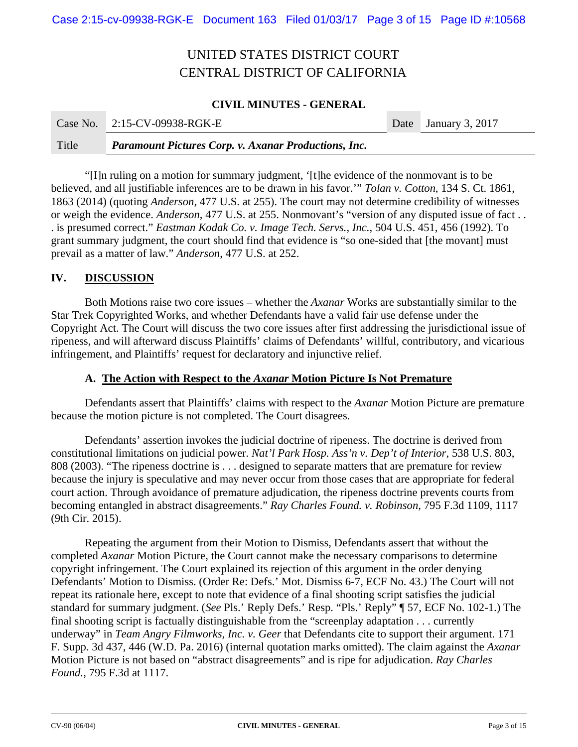### **CIVIL MINUTES - GENERAL**

**College** 

|       | Case No. 2:15-CV-09938-RGK-E                                | Date January 3, 2017 |
|-------|-------------------------------------------------------------|----------------------|
| Title | <b>Paramount Pictures Corp. v. Axanar Productions, Inc.</b> |                      |

"[I]n ruling on a motion for summary judgment, '[t]he evidence of the nonmovant is to be believed, and all justifiable inferences are to be drawn in his favor.'" *Tolan v. Cotton*, 134 S. Ct. 1861, 1863 (2014) (quoting *Anderson*, 477 U.S. at 255). The court may not determine credibility of witnesses or weigh the evidence. *Anderson*, 477 U.S. at 255. Nonmovant's "version of any disputed issue of fact . . . is presumed correct." *Eastman Kodak Co. v. Image Tech. Servs., Inc.*, 504 U.S. 451, 456 (1992). To grant summary judgment, the court should find that evidence is "so one-sided that [the movant] must prevail as a matter of law." *Anderson*, 477 U.S. at 252.

#### **IV. DISCUSSION**

Both Motions raise two core issues – whether the *Axanar* Works are substantially similar to the Star Trek Copyrighted Works, and whether Defendants have a valid fair use defense under the Copyright Act. The Court will discuss the two core issues after first addressing the jurisdictional issue of ripeness, and will afterward discuss Plaintiffs' claims of Defendants' willful, contributory, and vicarious infringement, and Plaintiffs' request for declaratory and injunctive relief.

#### **A. The Action with Respect to the** *Axanar* **Motion Picture Is Not Premature**

Defendants assert that Plaintiffs' claims with respect to the *Axanar* Motion Picture are premature because the motion picture is not completed. The Court disagrees.

Defendants' assertion invokes the judicial doctrine of ripeness. The doctrine is derived from constitutional limitations on judicial power. *Nat'l Park Hosp. Ass'n v. Dep't of Interior*, 538 U.S. 803, 808 (2003). "The ripeness doctrine is . . . designed to separate matters that are premature for review because the injury is speculative and may never occur from those cases that are appropriate for federal court action. Through avoidance of premature adjudication, the ripeness doctrine prevents courts from becoming entangled in abstract disagreements." *Ray Charles Found. v. Robinson*, 795 F.3d 1109, 1117 (9th Cir. 2015).

Repeating the argument from their Motion to Dismiss, Defendants assert that without the completed *Axanar* Motion Picture, the Court cannot make the necessary comparisons to determine copyright infringement. The Court explained its rejection of this argument in the order denying Defendants' Motion to Dismiss. (Order Re: Defs.' Mot. Dismiss 6-7, ECF No. 43.) The Court will not repeat its rationale here, except to note that evidence of a final shooting script satisfies the judicial standard for summary judgment. (*See* Pls.' Reply Defs.' Resp. "Pls.' Reply" ¶ 57, ECF No. 102-1.) The final shooting script is factually distinguishable from the "screenplay adaptation . . . currently underway" in *Team Angry Filmworks, Inc. v. Geer* that Defendants cite to support their argument. 171 F. Supp. 3d 437, 446 (W.D. Pa. 2016) (internal quotation marks omitted). The claim against the *Axanar* Motion Picture is not based on "abstract disagreements" and is ripe for adjudication. *Ray Charles Found.*, 795 F.3d at 1117.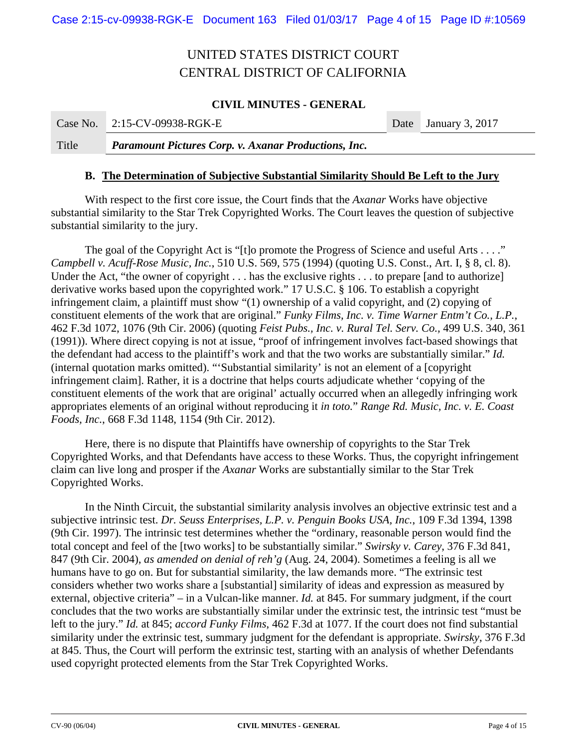### **CIVIL MINUTES - GENERAL**

| Case No. 2:15-CV-09938-RGK-E | Date January 3, 2017 |
|------------------------------|----------------------|
|                              |                      |

Title *Paramount Pictures Corp. v. Axanar Productions, Inc.* 

#### **B. The Determination of Subjective Substantial Similarity Should Be Left to the Jury**

With respect to the first core issue, the Court finds that the *Axanar* Works have objective substantial similarity to the Star Trek Copyrighted Works. The Court leaves the question of subjective substantial similarity to the jury.

The goal of the Copyright Act is "[t]o promote the Progress of Science and useful Arts . . . ." *Campbell v. Acuff-Rose Music, Inc.*, 510 U.S. 569, 575 (1994) (quoting U.S. Const., Art. I, § 8, cl. 8). Under the Act, "the owner of copyright . . . has the exclusive rights . . . to prepare [and to authorize] derivative works based upon the copyrighted work." 17 U.S.C. § 106. To establish a copyright infringement claim, a plaintiff must show "(1) ownership of a valid copyright, and (2) copying of constituent elements of the work that are original." *Funky Films, Inc. v. Time Warner Entm't Co., L.P.*, 462 F.3d 1072, 1076 (9th Cir. 2006) (quoting *Feist Pubs., Inc. v. Rural Tel. Serv. Co.,* 499 U.S. 340, 361 (1991)). Where direct copying is not at issue, "proof of infringement involves fact-based showings that the defendant had access to the plaintiff's work and that the two works are substantially similar." *Id.*  (internal quotation marks omitted). "'Substantial similarity' is not an element of a [copyright infringement claim]. Rather, it is a doctrine that helps courts adjudicate whether 'copying of the constituent elements of the work that are original' actually occurred when an allegedly infringing work appropriates elements of an original without reproducing it *in toto.*" *Range Rd. Music, Inc. v. E. Coast Foods, Inc.*, 668 F.3d 1148, 1154 (9th Cir. 2012).

Here, there is no dispute that Plaintiffs have ownership of copyrights to the Star Trek Copyrighted Works, and that Defendants have access to these Works. Thus, the copyright infringement claim can live long and prosper if the *Axanar* Works are substantially similar to the Star Trek Copyrighted Works.

In the Ninth Circuit, the substantial similarity analysis involves an objective extrinsic test and a subjective intrinsic test. *Dr. Seuss Enterprises, L.P. v. Penguin Books USA, Inc.*, 109 F.3d 1394, 1398 (9th Cir. 1997). The intrinsic test determines whether the "ordinary, reasonable person would find the total concept and feel of the [two works] to be substantially similar." *Swirsky v. Carey*, 376 F.3d 841, 847 (9th Cir. 2004), *as amended on denial of reh'g* (Aug. 24, 2004). Sometimes a feeling is all we humans have to go on. But for substantial similarity, the law demands more. "The extrinsic test considers whether two works share a [substantial] similarity of ideas and expression as measured by external, objective criteria" – in a Vulcan-like manner. *Id.* at 845. For summary judgment, if the court concludes that the two works are substantially similar under the extrinsic test, the intrinsic test "must be left to the jury." *Id.* at 845; *accord Funky Films*, 462 F.3d at 1077. If the court does not find substantial similarity under the extrinsic test, summary judgment for the defendant is appropriate. *Swirsky*, 376 F.3d at 845. Thus, the Court will perform the extrinsic test, starting with an analysis of whether Defendants used copyright protected elements from the Star Trek Copyrighted Works.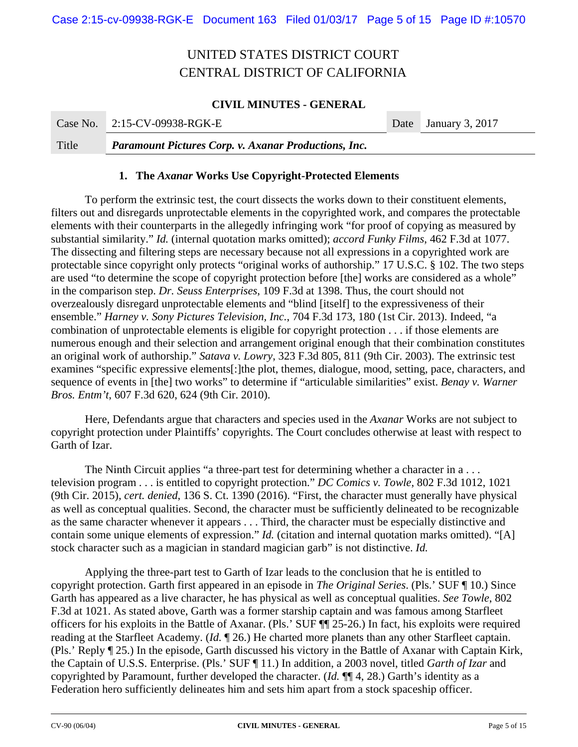### **CIVIL MINUTES - GENERAL**

|       | Case No. $2:15$ -CV-09938-RGK-E                             | Date January 3, 2017 |
|-------|-------------------------------------------------------------|----------------------|
| Title | <b>Paramount Pictures Corp. v. Axanar Productions, Inc.</b> |                      |

#### **1. The** *Axanar* **Works Use Copyright-Protected Elements**

To perform the extrinsic test, the court dissects the works down to their constituent elements, filters out and disregards unprotectable elements in the copyrighted work, and compares the protectable elements with their counterparts in the allegedly infringing work "for proof of copying as measured by substantial similarity." *Id.* (internal quotation marks omitted); *accord Funky Films*, 462 F.3d at 1077. The dissecting and filtering steps are necessary because not all expressions in a copyrighted work are protectable since copyright only protects "original works of authorship." 17 U.S.C. § 102. The two steps are used "to determine the scope of copyright protection before [the] works are considered as a whole" in the comparison step. *Dr. Seuss Enterprises*, 109 F.3d at 1398. Thus, the court should not overzealously disregard unprotectable elements and "blind [itself] to the expressiveness of their ensemble." *Harney v. Sony Pictures Television, Inc.*, 704 F.3d 173, 180 (1st Cir. 2013). Indeed, "a combination of unprotectable elements is eligible for copyright protection . . . if those elements are numerous enough and their selection and arrangement original enough that their combination constitutes an original work of authorship." *Satava v. Lowry*, 323 F.3d 805, 811 (9th Cir. 2003). The extrinsic test examines "specific expressive elements[:]the plot, themes, dialogue, mood, setting, pace, characters, and sequence of events in [the] two works" to determine if "articulable similarities" exist. *Benay v. Warner Bros. Entm't*, 607 F.3d 620, 624 (9th Cir. 2010).

Here, Defendants argue that characters and species used in the *Axanar* Works are not subject to copyright protection under Plaintiffs' copyrights. The Court concludes otherwise at least with respect to Garth of Izar.

The Ninth Circuit applies "a three-part test for determining whether a character in a... television program . . . is entitled to copyright protection." *DC Comics v. Towle*, 802 F.3d 1012, 1021 (9th Cir. 2015), *cert. denied*, 136 S. Ct. 1390 (2016). "First, the character must generally have physical as well as conceptual qualities. Second, the character must be sufficiently delineated to be recognizable as the same character whenever it appears . . . Third, the character must be especially distinctive and contain some unique elements of expression." *Id.* (citation and internal quotation marks omitted). "[A] stock character such as a magician in standard magician garb" is not distinctive. *Id.* 

Applying the three-part test to Garth of Izar leads to the conclusion that he is entitled to copyright protection. Garth first appeared in an episode in *The Original Series*. (Pls.' SUF ¶ 10.) Since Garth has appeared as a live character, he has physical as well as conceptual qualities. *See Towle*, 802 F.3d at 1021. As stated above, Garth was a former starship captain and was famous among Starfleet officers for his exploits in the Battle of Axanar. (Pls.' SUF ¶¶ 25-26.) In fact, his exploits were required reading at the Starfleet Academy. (*Id.* ¶ 26.) He charted more planets than any other Starfleet captain. (Pls.' Reply ¶ 25.) In the episode, Garth discussed his victory in the Battle of Axanar with Captain Kirk, the Captain of U.S.S. Enterprise. (Pls.' SUF ¶ 11.) In addition, a 2003 novel, titled *Garth of Izar* and copyrighted by Paramount, further developed the character. (*Id.* ¶¶ 4, 28.) Garth's identity as a Federation hero sufficiently delineates him and sets him apart from a stock spaceship officer.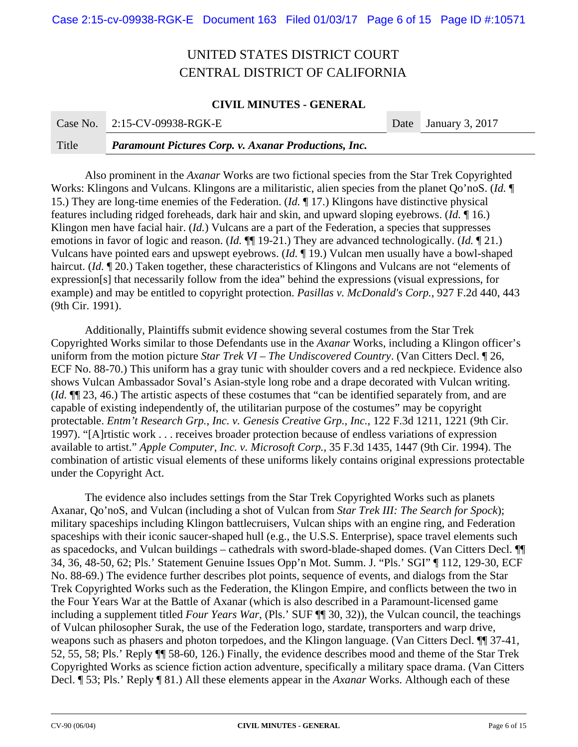#### **CIVIL MINUTES - GENERAL**

|       | Case No. 2:15-CV-09938-RGK-E                                | Date January 3, 2017 |
|-------|-------------------------------------------------------------|----------------------|
| Title | <b>Paramount Pictures Corp. v. Axanar Productions, Inc.</b> |                      |

Also prominent in the *Axanar* Works are two fictional species from the Star Trek Copyrighted Works: Klingons and Vulcans. Klingons are a militaristic, alien species from the planet Qo'noS. (*Id.* ¶ 15.) They are long-time enemies of the Federation. (*Id.* ¶ 17.) Klingons have distinctive physical features including ridged foreheads, dark hair and skin, and upward sloping eyebrows. (*Id.* ¶ 16.) Klingon men have facial hair. (*Id.*) Vulcans are a part of the Federation, a species that suppresses emotions in favor of logic and reason. (*Id.* ¶¶ 19-21.) They are advanced technologically. (*Id.* ¶ 21.) Vulcans have pointed ears and upswept eyebrows. (*Id.* ¶ 19.) Vulcan men usually have a bowl-shaped haircut. (*Id.* 120.) Taken together, these characteristics of Klingons and Vulcans are not "elements of expression[s] that necessarily follow from the idea" behind the expressions (visual expressions, for example) and may be entitled to copyright protection. *Pasillas v. McDonald's Corp.*, 927 F.2d 440, 443 (9th Cir. 1991).

Additionally, Plaintiffs submit evidence showing several costumes from the Star Trek Copyrighted Works similar to those Defendants use in the *Axanar* Works, including a Klingon officer's uniform from the motion picture *Star Trek VI – The Undiscovered Country*. (Van Citters Decl. ¶ 26, ECF No. 88-70.) This uniform has a gray tunic with shoulder covers and a red neckpiece. Evidence also shows Vulcan Ambassador Soval's Asian-style long robe and a drape decorated with Vulcan writing. (*Id.* ¶¶ 23, 46.) The artistic aspects of these costumes that "can be identified separately from, and are capable of existing independently of, the utilitarian purpose of the costumes" may be copyright protectable. *Entm't Research Grp., Inc. v. Genesis Creative Grp., Inc.*, 122 F.3d 1211, 1221 (9th Cir. 1997). "[A]rtistic work . . . receives broader protection because of endless variations of expression available to artist." *Apple Computer, Inc. v. Microsoft Corp.*, 35 F.3d 1435, 1447 (9th Cir. 1994). The combination of artistic visual elements of these uniforms likely contains original expressions protectable under the Copyright Act.

The evidence also includes settings from the Star Trek Copyrighted Works such as planets Axanar, Qo'noS, and Vulcan (including a shot of Vulcan from *Star Trek III: The Search for Spock*); military spaceships including Klingon battlecruisers, Vulcan ships with an engine ring, and Federation spaceships with their iconic saucer-shaped hull (e.g., the U.S.S. Enterprise), space travel elements such as spacedocks, and Vulcan buildings – cathedrals with sword-blade-shaped domes. (Van Citters Decl. ¶¶ 34, 36, 48-50, 62; Pls.' Statement Genuine Issues Opp'n Mot. Summ. J. "Pls.' SGI" ¶ 112, 129-30, ECF No. 88-69.) The evidence further describes plot points, sequence of events, and dialogs from the Star Trek Copyrighted Works such as the Federation, the Klingon Empire, and conflicts between the two in the Four Years War at the Battle of Axanar (which is also described in a Paramount-licensed game including a supplement titled *Four Years War*, (Pls.' SUF ¶¶ 30, 32)), the Vulcan council, the teachings of Vulcan philosopher Surak, the use of the Federation logo, stardate, transporters and warp drive, weapons such as phasers and photon torpedoes, and the Klingon language. (Van Citters Decl. ¶¶ 37-41, 52, 55, 58; Pls.' Reply ¶¶ 58-60, 126.) Finally, the evidence describes mood and theme of the Star Trek Copyrighted Works as science fiction action adventure, specifically a military space drama. (Van Citters Decl. ¶ 53; Pls.' Reply ¶ 81.) All these elements appear in the *Axanar* Works. Although each of these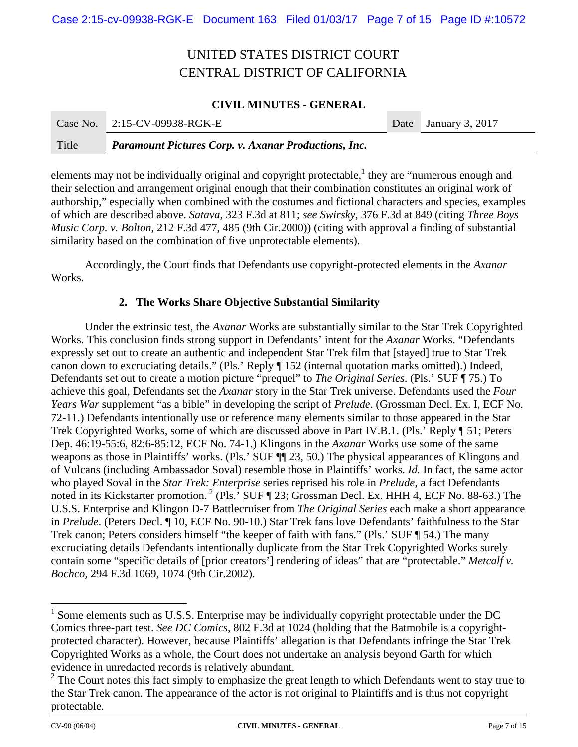### **CIVIL MINUTES - GENERAL**

|       | Case No. 2:15-CV-09938-RGK-E                                | Date January 3, 2017 |
|-------|-------------------------------------------------------------|----------------------|
| Title | <b>Paramount Pictures Corp. v. Axanar Productions, Inc.</b> |                      |

elements may not be individually original and copyright protectable,  $\frac{1}{2}$  they are "numerous enough and their selection and arrangement original enough that their combination constitutes an original work of authorship," especially when combined with the costumes and fictional characters and species, examples of which are described above. *Satava*, 323 F.3d at 811; *see Swirsky*, 376 F.3d at 849 (citing *Three Boys Music Corp. v. Bolton*, 212 F.3d 477, 485 (9th Cir.2000)) (citing with approval a finding of substantial similarity based on the combination of five unprotectable elements).

Accordingly, the Court finds that Defendants use copyright-protected elements in the *Axanar*  Works.

#### **2. The Works Share Objective Substantial Similarity**

Under the extrinsic test, the *Axanar* Works are substantially similar to the Star Trek Copyrighted Works. This conclusion finds strong support in Defendants' intent for the *Axanar* Works. "Defendants expressly set out to create an authentic and independent Star Trek film that [stayed] true to Star Trek canon down to excruciating details." (Pls.' Reply ¶ 152 (internal quotation marks omitted).) Indeed, Defendants set out to create a motion picture "prequel" to *The Original Series*. (Pls.' SUF ¶ 75.) To achieve this goal, Defendants set the *Axanar* story in the Star Trek universe. Defendants used the *Four Years War* supplement "as a bible" in developing the script of *Prelude*. (Grossman Decl. Ex. I, ECF No. 72-11.) Defendants intentionally use or reference many elements similar to those appeared in the Star Trek Copyrighted Works, some of which are discussed above in Part IV.B.1. (Pls.' Reply ¶ 51; Peters Dep. 46:19-55:6, 82:6-85:12, ECF No. 74-1.) Klingons in the *Axanar* Works use some of the same weapons as those in Plaintiffs' works. (Pls.' SUF ¶¶ 23, 50.) The physical appearances of Klingons and of Vulcans (including Ambassador Soval) resemble those in Plaintiffs' works. *Id.* In fact, the same actor who played Soval in the *Star Trek: Enterprise* series reprised his role in *Prelude*, a fact Defendants noted in its Kickstarter promotion.<sup>2</sup> (Pls.<sup>5</sup> SUF ¶ 23; Grossman Decl. Ex. HHH 4, ECF No. 88-63.) The U.S.S. Enterprise and Klingon D-7 Battlecruiser from *The Original Series* each make a short appearance in *Prelude*. (Peters Decl. ¶ 10, ECF No. 90-10.) Star Trek fans love Defendants' faithfulness to the Star Trek canon; Peters considers himself "the keeper of faith with fans." (Pls.' SUF ¶ 54.) The many excruciating details Defendants intentionally duplicate from the Star Trek Copyrighted Works surely contain some "specific details of [prior creators'] rendering of ideas" that are "protectable." *Metcalf v. Bochco,* 294 F.3d 1069, 1074 (9th Cir.2002).

 $\overline{a}$ 

 $<sup>1</sup>$  Some elements such as U.S.S. Enterprise may be individually copyright protectable under the DC</sup> Comics three-part test. *See DC Comics*, 802 F.3d at 1024 (holding that the Batmobile is a copyrightprotected character). However, because Plaintiffs' allegation is that Defendants infringe the Star Trek Copyrighted Works as a whole, the Court does not undertake an analysis beyond Garth for which evidence in unredacted records is relatively abundant.

 $2^2$  The Court notes this fact simply to emphasize the great length to which Defendants went to stay true to the Star Trek canon. The appearance of the actor is not original to Plaintiffs and is thus not copyright protectable.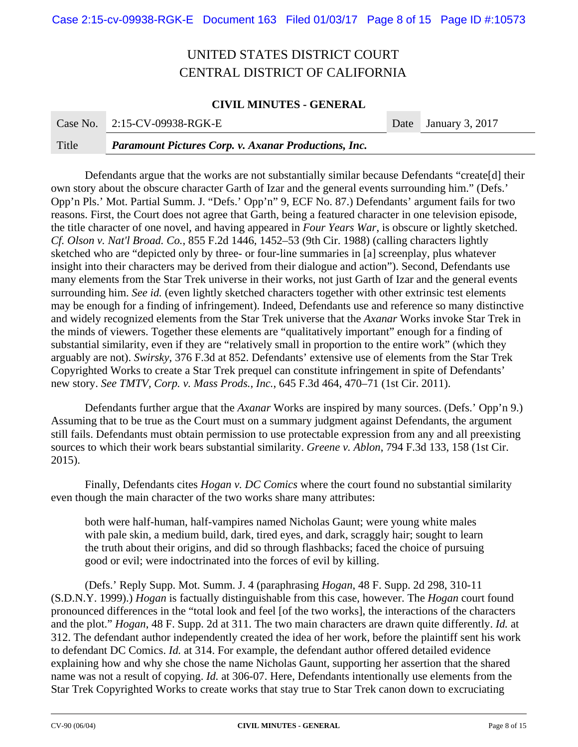### **CIVIL MINUTES - GENERAL**

| Title | <b>Paramount Pictures Corp. v. Axanar Productions, Inc.</b> |                      |
|-------|-------------------------------------------------------------|----------------------|
|       | Case No. 2:15-CV-09938-RGK-E                                | Date January 3, 2017 |

 Defendants argue that the works are not substantially similar because Defendants "create[d] their own story about the obscure character Garth of Izar and the general events surrounding him." (Defs.' Opp'n Pls.' Mot. Partial Summ. J. "Defs.' Opp'n" 9, ECF No. 87.) Defendants' argument fails for two reasons. First, the Court does not agree that Garth, being a featured character in one television episode, the title character of one novel, and having appeared in *Four Years War*, is obscure or lightly sketched. *Cf. Olson v. Nat'l Broad. Co.*, 855 F.2d 1446, 1452–53 (9th Cir. 1988) (calling characters lightly sketched who are "depicted only by three- or four-line summaries in [a] screenplay, plus whatever insight into their characters may be derived from their dialogue and action"). Second, Defendants use many elements from the Star Trek universe in their works, not just Garth of Izar and the general events surrounding him. *See id.* (even lightly sketched characters together with other extrinsic test elements may be enough for a finding of infringement). Indeed, Defendants use and reference so many distinctive and widely recognized elements from the Star Trek universe that the *Axanar* Works invoke Star Trek in the minds of viewers. Together these elements are "qualitatively important" enough for a finding of substantial similarity, even if they are "relatively small in proportion to the entire work" (which they arguably are not). *Swirsky*, 376 F.3d at 852. Defendants' extensive use of elements from the Star Trek Copyrighted Works to create a Star Trek prequel can constitute infringement in spite of Defendants' new story. *See TMTV, Corp. v. Mass Prods., Inc.*, 645 F.3d 464, 470–71 (1st Cir. 2011).

Defendants further argue that the *Axanar* Works are inspired by many sources. (Defs.' Opp'n 9.) Assuming that to be true as the Court must on a summary judgment against Defendants, the argument still fails. Defendants must obtain permission to use protectable expression from any and all preexisting sources to which their work bears substantial similarity. *Greene v. Ablon*, 794 F.3d 133, 158 (1st Cir. 2015).

Finally, Defendants cites *Hogan v. DC Comics* where the court found no substantial similarity even though the main character of the two works share many attributes:

both were half-human, half-vampires named Nicholas Gaunt; were young white males with pale skin, a medium build, dark, tired eyes, and dark, scraggly hair; sought to learn the truth about their origins, and did so through flashbacks; faced the choice of pursuing good or evil; were indoctrinated into the forces of evil by killing.

(Defs.' Reply Supp. Mot. Summ. J. 4 (paraphrasing *Hogan*, 48 F. Supp. 2d 298, 310-11 (S.D.N.Y. 1999).) *Hogan* is factually distinguishable from this case, however. The *Hogan* court found pronounced differences in the "total look and feel [of the two works], the interactions of the characters and the plot." *Hogan*, 48 F. Supp. 2d at 311. The two main characters are drawn quite differently. *Id.* at 312. The defendant author independently created the idea of her work, before the plaintiff sent his work to defendant DC Comics. *Id.* at 314. For example, the defendant author offered detailed evidence explaining how and why she chose the name Nicholas Gaunt, supporting her assertion that the shared name was not a result of copying. *Id.* at 306-07. Here, Defendants intentionally use elements from the Star Trek Copyrighted Works to create works that stay true to Star Trek canon down to excruciating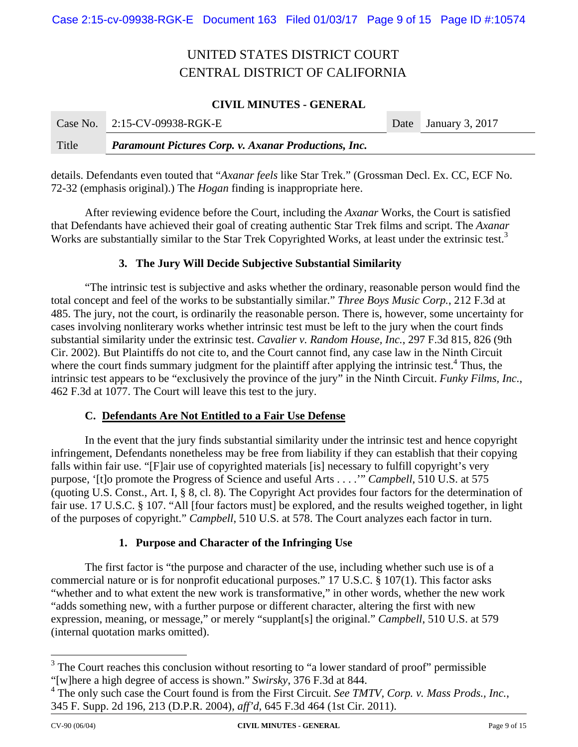### **CIVIL MINUTES - GENERAL**

|       | Case No. 2:15-CV-09938-RGK-E                                | Date January 3, 2017 |
|-------|-------------------------------------------------------------|----------------------|
| Title | <b>Paramount Pictures Corp. v. Axanar Productions, Inc.</b> |                      |

details. Defendants even touted that "*Axanar feels* like Star Trek." (Grossman Decl. Ex. CC, ECF No. 72-32 (emphasis original).) The *Hogan* finding is inappropriate here.

After reviewing evidence before the Court, including the *Axanar* Works, the Court is satisfied that Defendants have achieved their goal of creating authentic Star Trek films and script. The *Axanar*  Works are substantially similar to the Star Trek Copyrighted Works, at least under the extrinsic test.<sup>3</sup>

### **3. The Jury Will Decide Subjective Substantial Similarity**

"The intrinsic test is subjective and asks whether the ordinary, reasonable person would find the total concept and feel of the works to be substantially similar." *Three Boys Music Corp.*, 212 F.3d at 485. The jury, not the court, is ordinarily the reasonable person. There is, however, some uncertainty for cases involving nonliterary works whether intrinsic test must be left to the jury when the court finds substantial similarity under the extrinsic test. *Cavalier v. Random House, Inc.*, 297 F.3d 815, 826 (9th Cir. 2002). But Plaintiffs do not cite to, and the Court cannot find, any case law in the Ninth Circuit where the court finds summary judgment for the plaintiff after applying the intrinsic test.<sup>4</sup> Thus, the intrinsic test appears to be "exclusively the province of the jury" in the Ninth Circuit. *Funky Films, Inc.*, 462 F.3d at 1077. The Court will leave this test to the jury.

### **C. Defendants Are Not Entitled to a Fair Use Defense**

In the event that the jury finds substantial similarity under the intrinsic test and hence copyright infringement, Defendants nonetheless may be free from liability if they can establish that their copying falls within fair use. "[F]air use of copyrighted materials [is] necessary to fulfill copyright's very purpose, '[t]o promote the Progress of Science and useful Arts . . . .'" *Campbell*, 510 U.S. at 575 (quoting U.S. Const., Art. I, § 8, cl. 8). The Copyright Act provides four factors for the determination of fair use. 17 U.S.C. § 107. "All [four factors must] be explored, and the results weighed together, in light of the purposes of copyright." *Campbell*, 510 U.S. at 578. The Court analyzes each factor in turn.

#### **1. Purpose and Character of the Infringing Use**

The first factor is "the purpose and character of the use, including whether such use is of a commercial nature or is for nonprofit educational purposes." 17 U.S.C. § 107(1). This factor asks "whether and to what extent the new work is transformative," in other words, whether the new work "adds something new, with a further purpose or different character, altering the first with new expression, meaning, or message," or merely "supplant[s] the original." *Campbell*, 510 U.S. at 579 (internal quotation marks omitted).

<sup>&</sup>lt;sup>3</sup> The Court reaches this conclusion without resorting to "a lower standard of proof" permissible "[w]here a high degree of access is shown." *Swirsky*, 376 F.3d at 844.

<sup>&</sup>lt;sup>4</sup> The only such case the Court found is from the First Circuit. *See TMTV, Corp. v. Mass Prods., Inc.*, 345 F. Supp. 2d 196, 213 (D.P.R. 2004), *aff'd*, 645 F.3d 464 (1st Cir. 2011).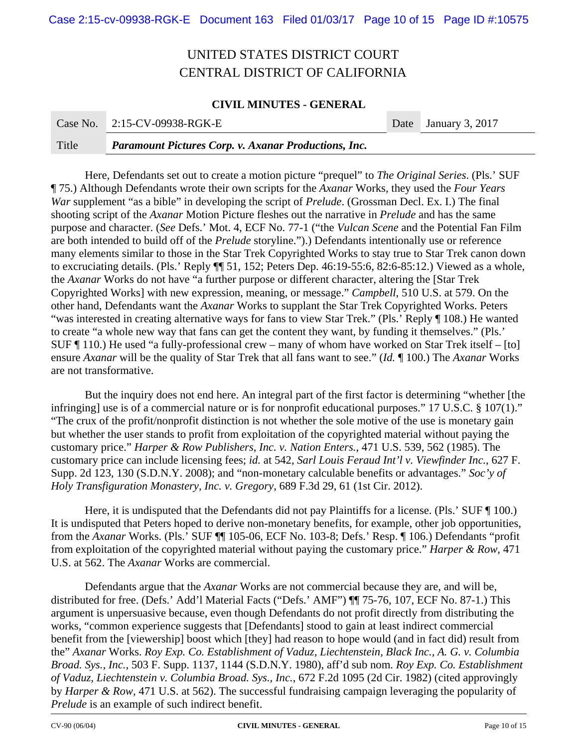#### **CIVIL MINUTES - GENERAL**

|       | Case No. 2:15-CV-09938-RGK-E                                | Date January 3, 2017 |
|-------|-------------------------------------------------------------|----------------------|
| Title | <b>Paramount Pictures Corp. v. Axanar Productions, Inc.</b> |                      |

Here, Defendants set out to create a motion picture "prequel" to *The Original Series*. (Pls.' SUF ¶ 75.) Although Defendants wrote their own scripts for the *Axanar* Works, they used the *Four Years War* supplement "as a bible" in developing the script of *Prelude*. (Grossman Decl. Ex. I.) The final shooting script of the *Axanar* Motion Picture fleshes out the narrative in *Prelude* and has the same purpose and character. (*See* Defs.' Mot. 4, ECF No. 77-1 ("the *Vulcan Scene* and the Potential Fan Film are both intended to build off of the *Prelude* storyline.").) Defendants intentionally use or reference many elements similar to those in the Star Trek Copyrighted Works to stay true to Star Trek canon down to excruciating details. (Pls.' Reply ¶¶ 51, 152; Peters Dep. 46:19-55:6, 82:6-85:12.) Viewed as a whole, the *Axanar* Works do not have "a further purpose or different character, altering the [Star Trek Copyrighted Works] with new expression, meaning, or message." *Campbell*, 510 U.S. at 579. On the other hand, Defendants want the *Axanar* Works to supplant the Star Trek Copyrighted Works. Peters "was interested in creating alternative ways for fans to view Star Trek." (Pls.' Reply ¶ 108.) He wanted to create "a whole new way that fans can get the content they want, by funding it themselves." (Pls.' SUF ¶ 110.) He used "a fully-professional crew – many of whom have worked on Star Trek itself – [to] ensure *Axanar* will be the quality of Star Trek that all fans want to see." (*Id.* ¶ 100.) The *Axanar* Works are not transformative.

But the inquiry does not end here. An integral part of the first factor is determining "whether [the infringing] use is of a commercial nature or is for nonprofit educational purposes." 17 U.S.C. § 107(1)." "The crux of the profit/nonprofit distinction is not whether the sole motive of the use is monetary gain but whether the user stands to profit from exploitation of the copyrighted material without paying the customary price." *Harper & Row Publishers, Inc. v. Nation Enters.*, 471 U.S. 539, 562 (1985). The customary price can include licensing fees; *id.* at 542, *Sarl Louis Feraud Int'l v. Viewfinder Inc.*, 627 F. Supp. 2d 123, 130 (S.D.N.Y. 2008); and "non-monetary calculable benefits or advantages." *Soc'y of Holy Transfiguration Monastery, Inc. v. Gregory*, 689 F.3d 29, 61 (1st Cir. 2012).

Here, it is undisputed that the Defendants did not pay Plaintiffs for a license. (Pls.' SUF  $\P$  100.) It is undisputed that Peters hoped to derive non-monetary benefits, for example, other job opportunities, from the *Axanar* Works. (Pls.' SUF ¶¶ 105-06, ECF No. 103-8; Defs.' Resp. ¶ 106.) Defendants "profit from exploitation of the copyrighted material without paying the customary price." *Harper & Row*, 471 U.S. at 562. The *Axanar* Works are commercial.

Defendants argue that the *Axanar* Works are not commercial because they are, and will be, distributed for free. (Defs.' Add'l Material Facts ("Defs.' AMF") ¶¶ 75-76, 107, ECF No. 87-1.) This argument is unpersuasive because, even though Defendants do not profit directly from distributing the works, "common experience suggests that [Defendants] stood to gain at least indirect commercial benefit from the [viewership] boost which [they] had reason to hope would (and in fact did) result from the" *Axanar* Works. *Roy Exp. Co. Establishment of Vaduz, Liechtenstein, Black Inc., A. G. v. Columbia Broad. Sys., Inc.*, 503 F. Supp. 1137, 1144 (S.D.N.Y. 1980), aff'd sub nom. *Roy Exp. Co. Establishment of Vaduz, Liechtenstein v. Columbia Broad. Sys., Inc.*, 672 F.2d 1095 (2d Cir. 1982) (cited approvingly by *Harper & Row*, 471 U.S. at 562). The successful fundraising campaign leveraging the popularity of *Prelude* is an example of such indirect benefit.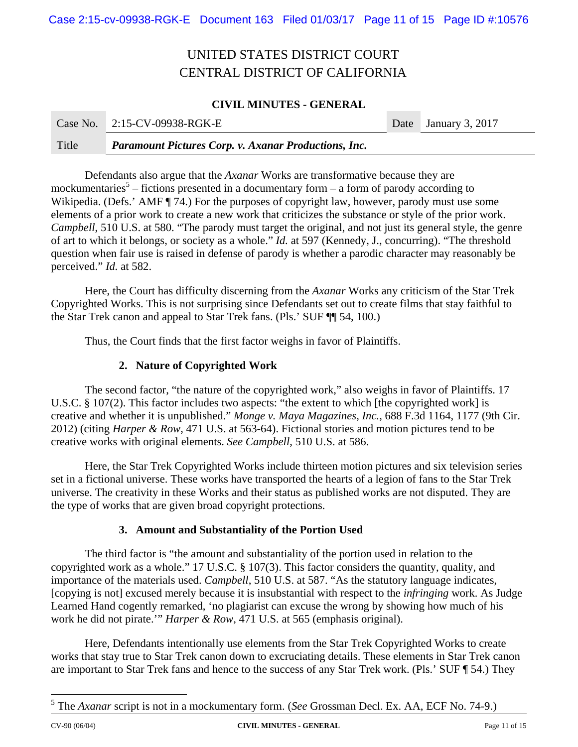### **CIVIL MINUTES - GENERAL**

|       | Case No. 2:15-CV-09938-RGK-E                                | Date January 3, 2017 |
|-------|-------------------------------------------------------------|----------------------|
| Title | <b>Paramount Pictures Corp. v. Axanar Productions, Inc.</b> |                      |

Defendants also argue that the *Axanar* Works are transformative because they are mockumentaries<sup>5</sup> – fictions presented in a documentary form – a form of parody according to Wikipedia. (Defs.' AMF ¶ 74.) For the purposes of copyright law, however, parody must use some elements of a prior work to create a new work that criticizes the substance or style of the prior work. *Campbell*, 510 U.S. at 580. "The parody must target the original, and not just its general style, the genre of art to which it belongs, or society as a whole." *Id.* at 597 (Kennedy, J., concurring). "The threshold question when fair use is raised in defense of parody is whether a parodic character may reasonably be perceived." *Id.* at 582.

Here, the Court has difficulty discerning from the *Axanar* Works any criticism of the Star Trek Copyrighted Works. This is not surprising since Defendants set out to create films that stay faithful to the Star Trek canon and appeal to Star Trek fans. (Pls.' SUF ¶¶ 54, 100.)

Thus, the Court finds that the first factor weighs in favor of Plaintiffs.

### **2. Nature of Copyrighted Work**

The second factor, "the nature of the copyrighted work," also weighs in favor of Plaintiffs. 17 U.S.C. § 107(2). This factor includes two aspects: "the extent to which [the copyrighted work] is creative and whether it is unpublished." *Monge v. Maya Magazines, Inc.*, 688 F.3d 1164, 1177 (9th Cir. 2012) (citing *Harper & Row*, 471 U.S. at 563-64). Fictional stories and motion pictures tend to be creative works with original elements. *See Campbell*, 510 U.S. at 586.

Here, the Star Trek Copyrighted Works include thirteen motion pictures and six television series set in a fictional universe. These works have transported the hearts of a legion of fans to the Star Trek universe. The creativity in these Works and their status as published works are not disputed. They are the type of works that are given broad copyright protections.

### **3. Amount and Substantiality of the Portion Used**

The third factor is "the amount and substantiality of the portion used in relation to the copyrighted work as a whole." 17 U.S.C. § 107(3). This factor considers the quantity, quality, and importance of the materials used. *Campbell*, 510 U.S. at 587. "As the statutory language indicates, [copying is not] excused merely because it is insubstantial with respect to the *infringing* work. As Judge Learned Hand cogently remarked, 'no plagiarist can excuse the wrong by showing how much of his work he did not pirate.'" *Harper & Row*, 471 U.S. at 565 (emphasis original).

Here, Defendants intentionally use elements from the Star Trek Copyrighted Works to create works that stay true to Star Trek canon down to excruciating details. These elements in Star Trek canon are important to Star Trek fans and hence to the success of any Star Trek work. (Pls.' SUF ¶ 54.) They

 $\overline{a}$ 

<sup>5</sup> The *Axanar* script is not in a mockumentary form. (*See* Grossman Decl. Ex. AA, ECF No. 74-9.)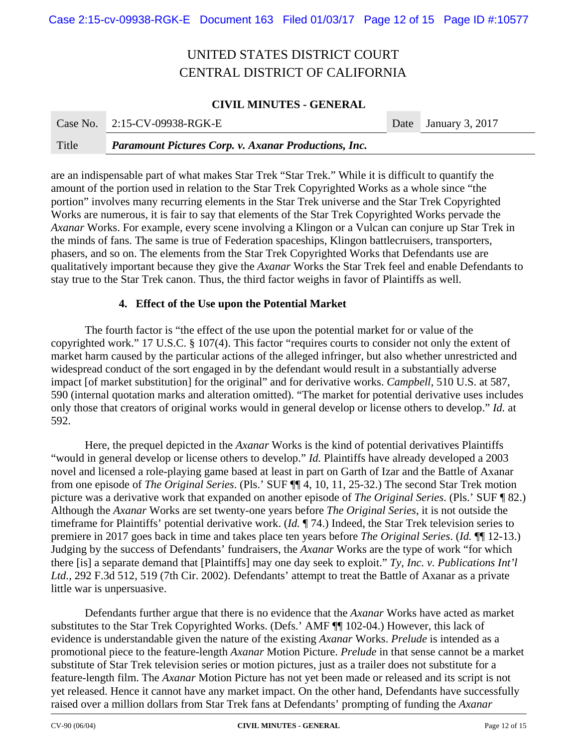### **CIVIL MINUTES - GENERAL**

|       | Case No. 2:15-CV-09938-RGK-E                                | Date January 3, 2017 |
|-------|-------------------------------------------------------------|----------------------|
| Title | <b>Paramount Pictures Corp. v. Axanar Productions, Inc.</b> |                      |

are an indispensable part of what makes Star Trek "Star Trek." While it is difficult to quantify the amount of the portion used in relation to the Star Trek Copyrighted Works as a whole since "the portion" involves many recurring elements in the Star Trek universe and the Star Trek Copyrighted Works are numerous, it is fair to say that elements of the Star Trek Copyrighted Works pervade the *Axanar* Works. For example, every scene involving a Klingon or a Vulcan can conjure up Star Trek in the minds of fans. The same is true of Federation spaceships, Klingon battlecruisers, transporters, phasers, and so on. The elements from the Star Trek Copyrighted Works that Defendants use are qualitatively important because they give the *Axanar* Works the Star Trek feel and enable Defendants to stay true to the Star Trek canon. Thus, the third factor weighs in favor of Plaintiffs as well.

#### **4. Effect of the Use upon the Potential Market**

The fourth factor is "the effect of the use upon the potential market for or value of the copyrighted work." 17 U.S.C. § 107(4). This factor "requires courts to consider not only the extent of market harm caused by the particular actions of the alleged infringer, but also whether unrestricted and widespread conduct of the sort engaged in by the defendant would result in a substantially adverse impact [of market substitution] for the original" and for derivative works. *Campbell*, 510 U.S. at 587, 590 (internal quotation marks and alteration omitted). "The market for potential derivative uses includes only those that creators of original works would in general develop or license others to develop." *Id.* at 592.

Here, the prequel depicted in the *Axanar* Works is the kind of potential derivatives Plaintiffs "would in general develop or license others to develop." *Id.* Plaintiffs have already developed a 2003 novel and licensed a role-playing game based at least in part on Garth of Izar and the Battle of Axanar from one episode of *The Original Series*. (Pls.' SUF ¶¶ 4, 10, 11, 25-32.) The second Star Trek motion picture was a derivative work that expanded on another episode of *The Original Series*. (Pls.' SUF ¶ 82.) Although the *Axanar* Works are set twenty-one years before *The Original Series*, it is not outside the timeframe for Plaintiffs' potential derivative work. (*Id.* ¶ 74.) Indeed, the Star Trek television series to premiere in 2017 goes back in time and takes place ten years before *The Original Series*. (*Id.* ¶¶ 12-13.) Judging by the success of Defendants' fundraisers, the *Axanar* Works are the type of work "for which there [is] a separate demand that [Plaintiffs] may one day seek to exploit." *Ty, Inc. v. Publications Int'l Ltd.*, 292 F.3d 512, 519 (7th Cir. 2002). Defendants' attempt to treat the Battle of Axanar as a private little war is unpersuasive.

Defendants further argue that there is no evidence that the *Axanar* Works have acted as market substitutes to the Star Trek Copyrighted Works. (Defs.' AMF ¶¶ 102-04.) However, this lack of evidence is understandable given the nature of the existing *Axanar* Works. *Prelude* is intended as a promotional piece to the feature-length *Axanar* Motion Picture. *Prelude* in that sense cannot be a market substitute of Star Trek television series or motion pictures, just as a trailer does not substitute for a feature-length film. The *Axanar* Motion Picture has not yet been made or released and its script is not yet released. Hence it cannot have any market impact. On the other hand, Defendants have successfully raised over a million dollars from Star Trek fans at Defendants' prompting of funding the *Axanar*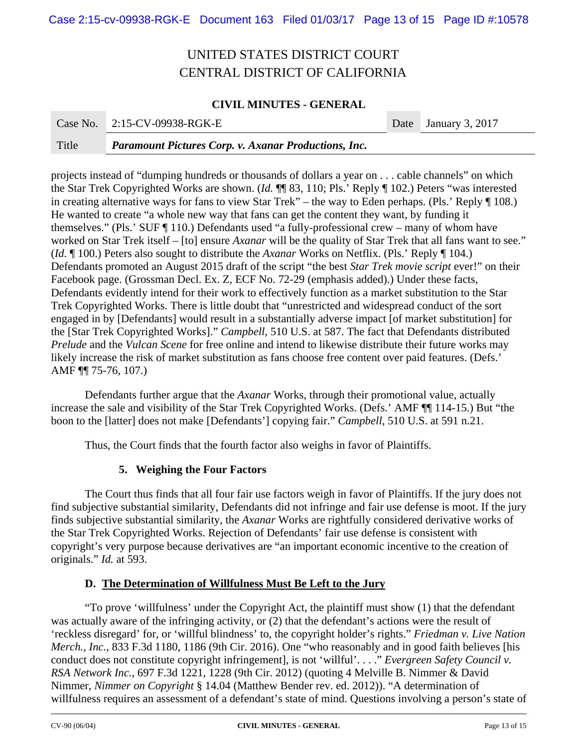#### **CIVIL MINUTES - GENERAL**

|       | Case No. 2:15-CV-09938-RGK-E                                | Date January 3, 2017 |
|-------|-------------------------------------------------------------|----------------------|
| Title | <b>Paramount Pictures Corp. v. Axanar Productions, Inc.</b> |                      |

projects instead of "dumping hundreds or thousands of dollars a year on . . . cable channels" on which the Star Trek Copyrighted Works are shown. (*Id.* ¶¶ 83, 110; Pls.' Reply ¶ 102.) Peters "was interested in creating alternative ways for fans to view Star Trek" – the way to Eden perhaps. (Pls.' Reply ¶ 108.) He wanted to create "a whole new way that fans can get the content they want, by funding it themselves." (Pls.' SUF ¶ 110.) Defendants used "a fully-professional crew – many of whom have worked on Star Trek itself – [to] ensure *Axanar* will be the quality of Star Trek that all fans want to see." (*Id.* ¶ 100.) Peters also sought to distribute the *Axanar* Works on Netflix. (Pls.' Reply ¶ 104.) Defendants promoted an August 2015 draft of the script "the best *Star Trek movie script* ever!" on their Facebook page. (Grossman Decl. Ex. Z, ECF No. 72-29 (emphasis added).) Under these facts, Defendants evidently intend for their work to effectively function as a market substitution to the Star Trek Copyrighted Works. There is little doubt that "unrestricted and widespread conduct of the sort engaged in by [Defendants] would result in a substantially adverse impact [of market substitution] for the [Star Trek Copyrighted Works]." *Campbell*, 510 U.S. at 587. The fact that Defendants distributed *Prelude* and the *Vulcan Scene* for free online and intend to likewise distribute their future works may likely increase the risk of market substitution as fans choose free content over paid features. (Defs.' AMF ¶¶ 75-76, 107.)

Defendants further argue that the *Axanar* Works, through their promotional value, actually increase the sale and visibility of the Star Trek Copyrighted Works. (Defs.' AMF ¶¶ 114-15.) But "the boon to the [latter] does not make [Defendants'] copying fair." *Campbell*, 510 U.S. at 591 n.21.

Thus, the Court finds that the fourth factor also weighs in favor of Plaintiffs.

### **5. Weighing the Four Factors**

The Court thus finds that all four fair use factors weigh in favor of Plaintiffs. If the jury does not find subjective substantial similarity, Defendants did not infringe and fair use defense is moot. If the jury finds subjective substantial similarity, the *Axanar* Works are rightfully considered derivative works of the Star Trek Copyrighted Works. Rejection of Defendants' fair use defense is consistent with copyright's very purpose because derivatives are "an important economic incentive to the creation of originals." *Id.* at 593.

### **D. The Determination of Willfulness Must Be Left to the Jury**

"To prove 'willfulness' under the Copyright Act, the plaintiff must show (1) that the defendant was actually aware of the infringing activity, or (2) that the defendant's actions were the result of 'reckless disregard' for, or 'willful blindness' to, the copyright holder's rights." *Friedman v. Live Nation Merch., Inc.*, 833 F.3d 1180, 1186 (9th Cir. 2016). One "who reasonably and in good faith believes [his conduct does not constitute copyright infringement], is not 'willful'. . . ." *Evergreen Safety Council v. RSA Network Inc.*, 697 F.3d 1221, 1228 (9th Cir. 2012) (quoting 4 Melville B. Nimmer & David Nimmer, *Nimmer on Copyright* § 14.04 (Matthew Bender rev. ed. 2012)). "A determination of willfulness requires an assessment of a defendant's state of mind. Questions involving a person's state of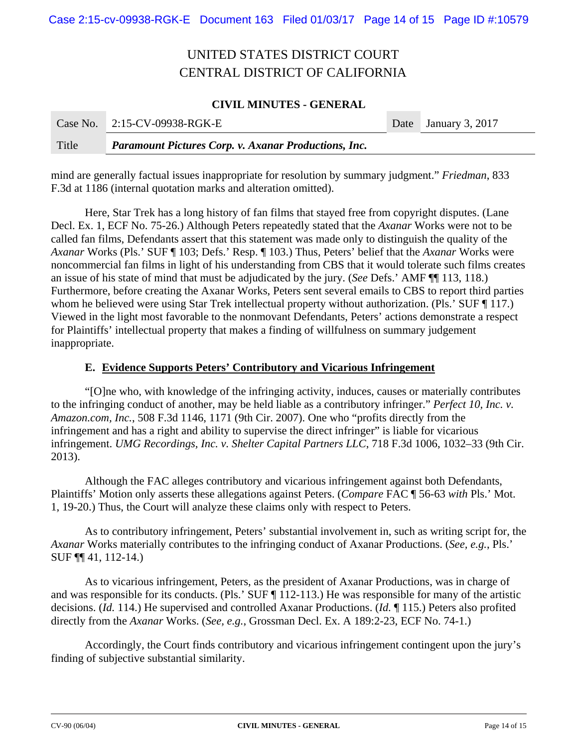### **CIVIL MINUTES - GENERAL**

|       | Case No. 2:15-CV-09938-RGK-E                                | Date January 3, 2017 |
|-------|-------------------------------------------------------------|----------------------|
| Title | <b>Paramount Pictures Corp. v. Axanar Productions, Inc.</b> |                      |

mind are generally factual issues inappropriate for resolution by summary judgment." *Friedman*, 833 F.3d at 1186 (internal quotation marks and alteration omitted).

Here, Star Trek has a long history of fan films that stayed free from copyright disputes. (Lane Decl. Ex. 1, ECF No. 75-26.) Although Peters repeatedly stated that the *Axanar* Works were not to be called fan films, Defendants assert that this statement was made only to distinguish the quality of the *Axanar* Works (Pls.' SUF ¶ 103; Defs.' Resp. ¶ 103.) Thus, Peters' belief that the *Axanar* Works were noncommercial fan films in light of his understanding from CBS that it would tolerate such films creates an issue of his state of mind that must be adjudicated by the jury. (*See* Defs.' AMF ¶¶ 113, 118.) Furthermore, before creating the Axanar Works, Peters sent several emails to CBS to report third parties whom he believed were using Star Trek intellectual property without authorization. (Pls.' SUF ¶ 117.) Viewed in the light most favorable to the nonmovant Defendants, Peters' actions demonstrate a respect for Plaintiffs' intellectual property that makes a finding of willfulness on summary judgement inappropriate.

#### **E. Evidence Supports Peters' Contributory and Vicarious Infringement**

"[O]ne who, with knowledge of the infringing activity, induces, causes or materially contributes to the infringing conduct of another, may be held liable as a contributory infringer." *Perfect 10, Inc. v. Amazon.com, Inc.*, 508 F.3d 1146, 1171 (9th Cir. 2007). One who "profits directly from the infringement and has a right and ability to supervise the direct infringer" is liable for vicarious infringement. *UMG Recordings, Inc. v. Shelter Capital Partners LLC*, 718 F.3d 1006, 1032–33 (9th Cir. 2013).

Although the FAC alleges contributory and vicarious infringement against both Defendants, Plaintiffs' Motion only asserts these allegations against Peters. (*Compare* FAC ¶ 56-63 *with* Pls.' Mot. 1, 19-20.) Thus, the Court will analyze these claims only with respect to Peters.

As to contributory infringement, Peters' substantial involvement in, such as writing script for, the *Axanar* Works materially contributes to the infringing conduct of Axanar Productions. (*See, e.g.*, Pls.' SUF ¶¶ 41, 112-14.)

As to vicarious infringement, Peters, as the president of Axanar Productions, was in charge of and was responsible for its conducts. (Pls.' SUF ¶ 112-113.) He was responsible for many of the artistic decisions. (*Id.* 114.) He supervised and controlled Axanar Productions. (*Id.* ¶ 115.) Peters also profited directly from the *Axanar* Works. (*See, e.g.*, Grossman Decl. Ex. A 189:2-23, ECF No. 74-1.)

Accordingly, the Court finds contributory and vicarious infringement contingent upon the jury's finding of subjective substantial similarity.